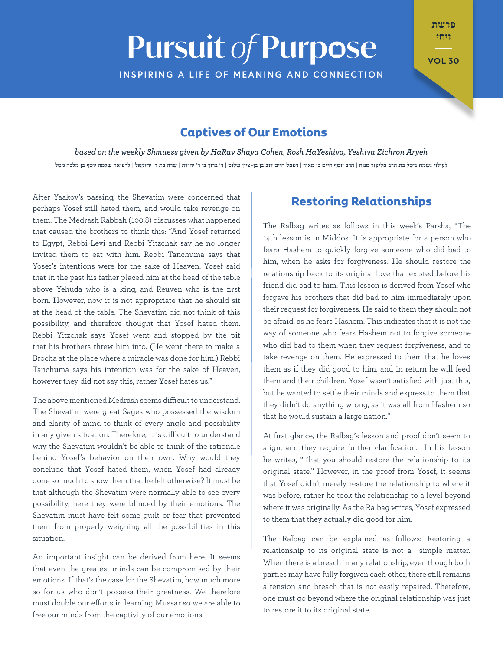# **Pursuit of Purpose**

פרשת ויחי  $\mathbb{Z}^{\times}$ 

**VOL 30** 

**INSPIRING A LIFE OF MEANING AND CONNECTION** 

## **Captives of Our Emotions**

based on the weekly Shmuess given by HaRav Shaya Cohen, Rosh HaYeshiva, Yeshiva Zichron Aryeh לעילוי נשמת גיטל בת הרב אליעזר מנוח | הרב יוסף חיים בן מאיר | רפאל חיים דוב בן בן-ציון שלום | ר' ברוך בן ר' יהודה | שרה בת ר' יחזקאל | לרפואה שלמה יוסף בן מלכה מטל

After Yaakov's passing, the Shevatim were concerned that perhaps Yosef still hated them, and would take revenge on them. The Medrash Rabbah (100:8) discusses what happened that caused the brothers to think this: "And Yosef returned to Egypt; Rebbi Levi and Rebbi Yitzchak say he no longer invited them to eat with him. Rebbi Tanchuma says that Yosef's intentions were for the sake of Heaven. Yosef said that in the past his father placed him at the head of the table above Yehuda who is a king, and Reuven who is the first born. However, now it is not appropriate that he should sit at the head of the table. The Shevatim did not think of this possibility, and therefore thought that Yosef hated them. Rebbi Yitzchak says Yosef went and stopped by the pit that his brothers threw him into. (He went there to make a Brocha at the place where a miracle was done for him.) Rebbi Tanchuma says his intention was for the sake of Heaven, however they did not say this, rather Yosef hates us."

The above mentioned Medrash seems difficult to understand The Shevatim were great Sages who possessed the wisdom and clarity of mind to think of every angle and possibility in any given situation. Therefore, it is difficult to understand why the Shevatim wouldn't be able to think of the rationale behind Yosef's behavior on their own. Why would they conclude that Yosef hated them, when Yosef had already done so much to show them that he felt otherwise? It must be that although the Shevatim were normally able to see every possibility, here they were blinded by their emotions. The Shevatim must have felt some guilt or fear that prevented them from properly weighing all the possibilities in this .situation

An important insight can be derived from here. It seems that even the greatest minds can be compromised by their emotions. If that's the case for the Shevatim, how much more so for us who don't possess their greatness. We therefore must double our efforts in learning Mussar so we are able to free our minds from the captivity of our emotions.

#### **Restoring Relationships**

The Ralbag writes as follows in this week's Parsha, "The 14th lesson is in Middos. It is appropriate for a person who fears Hashem to quickly forgive someone who did bad to him, when he asks for forgiveness. He should restore the relationship back to its original love that existed before his friend did bad to him. This lesson is derived from Yosef who forgave his brothers that did bad to him immediately upon their request for forgiveness. He said to them they should not be afraid, as he fears Hashem. This indicates that it is not the way of someone who fears Hashem not to forgive someone who did bad to them when they request forgiveness, and to take revenge on them. He expressed to them that he loves them as if they did good to him, and in return he will feed them and their children. Yosef wasn't satisfied with just this, but he wanted to settle their minds and express to them that they didn't do anything wrong, as it was all from Hashem so that he would sustain a large nation."

At first glance, the Ralbag's lesson and proof don't seem to align, and they require further clarification. In his lesson he writes, "That you should restore the relationship to its original state." However, in the proof from Yosef, it seems that Yosef didn't merely restore the relationship to where it was before, rather he took the relationship to a level beyond where it was originally. As the Ralbag writes, Yosef expressed to them that they actually did good for him.

The Ralbag can be explained as follows: Restoring a relationship to its original state is not a simple matter. When there is a breach in any relationship, even though both parties may have fully forgiven each other, there still remains a tension and breach that is not easily repaired. Therefore, one must go beyond where the original relationship was just to restore it to its original state.